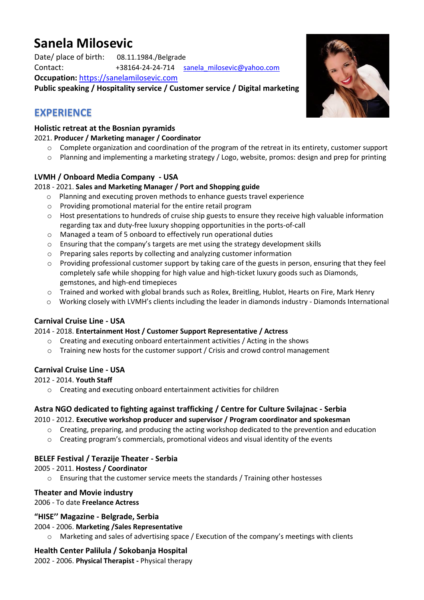# **Sanela Milosevic**

Date/ place of birth: 08.11.1984./Belgrade Contact: +38164-24-24-714 sanela milosevic@yahoo.com **Occupation:** [https://sanelamilosevic.com](https://sanelamilosevic.com/wp-content/uploads/2022/04/Sanela-Milosevic-Actress.pdf)

**Public speaking / Hospitality service / Customer service / Digital marketing**

# **EXPERIENCE**

### **Holistic retreat at the Bosnian pyramids**

#### 2021. **Producer / Marketing manager / Coordinator**

- $\circ$  Complete organization and coordination of the program of the retreat in its entirety, customer support
- o Planning and implementing a marketing strategy / Logo, website, promos: design and prep for printing

### **LVMH / Onboard Media Company - USA**

#### 2018 - 2021. **Sales and Marketing Manager / Port and Shopping guide**

- o Planning and executing proven methods to enhance guests travel experience
- o Providing promotional material for the entire retail program
- $\circ$  Host presentations to hundreds of cruise ship guests to ensure they receive high valuable information regarding tax and duty-free luxury shopping opportunities in the ports-of-call
- o Managed a team of 5 onboard to effectively run operational duties
- o Ensuring that the company's targets are met using the strategy development skills
- o Preparing sales reports by collecting and analyzing customer information
- o Providing professional customer support by taking care of the guests in person, ensuring that they feel completely safe while shopping for high value and high-ticket luxury goods such as Diamonds, gemstones, and high-end timepieces
- o Trained and worked with global brands such as Rolex, Breitling, Hublot, Hearts on Fire, Mark Henry
- o Working closely with LVMH's clients including the leader in diamonds industry Diamonds International

#### **Carnival Cruise Line - USA**

#### 2014 - 2018. **Entertainment Host / Customer Support Representative / Actress**

- o Creating and executing onboard entertainment activities / Acting in the shows
- $\circ$  Training new hosts for the customer support / Crisis and crowd control management

#### **Carnival Cruise Line - USA**

#### 2012 - 2014. **Youth Staff**

o Creating and executing onboard entertainment activities for children

#### **Astra NGO dedicated to fighting against trafficking / Centre for Culture Svilajnac - Serbia**

#### 2010 - 2012. **Executive workshop producer and supervisor / Program coordinator and spokesman**

- $\circ$  Creating, preparing, and producing the acting workshop dedicated to the prevention and education
- $\circ$  Creating program's commercials, promotional videos and visual identity of the events

#### **BELEF Festival / Terazije Theater - Serbia**

#### 2005 - 2011. **Hostess / Coordinator**

o Ensuring that the customer service meets the standards / Training other hostesses

#### **Theater and Movie industry**

2006 - To date **Freelance Actress** 

#### **"HISE'' Magazine - Belgrade, Serbia**

2004 - 2006. **Marketing /Sales Representative** 

o Marketing and sales of advertising space / Execution of the company's meetings with clients

#### **Health Center Palilula / Sokobanja Hospital**

2002 - 2006. **Physical Therapist -** Physical therapy